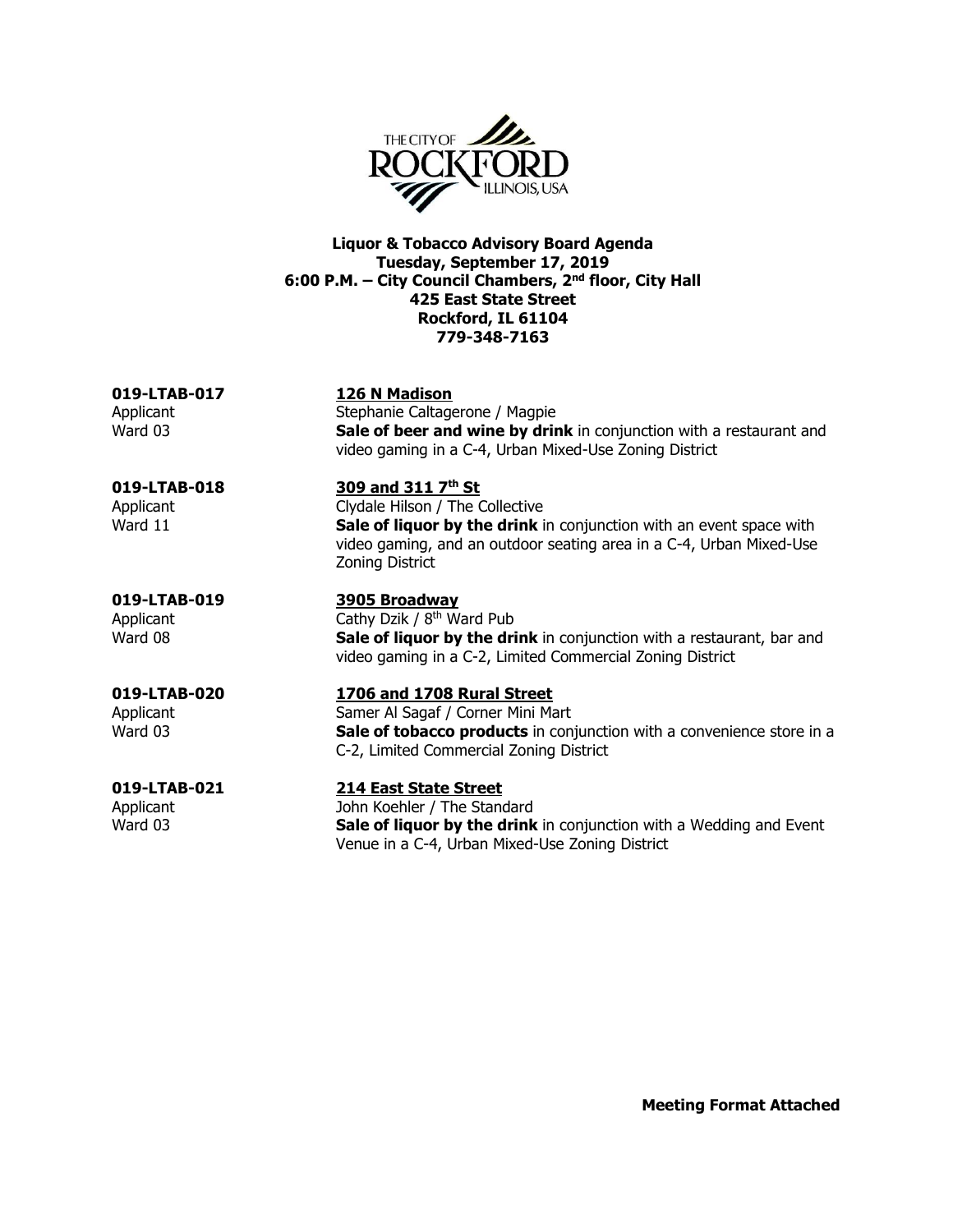

**Liquor & Tobacco Advisory Board Agenda Tuesday, September 17, 2019 6:00 P.M. – City Council Chambers, 2nd floor, City Hall 425 East State Street Rockford, IL 61104 779-348-7163**

**019-LTAB-017 126 N Madison** Applicant **Stephanie Caltagerone / Magpie** Ward 03 **Sale of beer and wine by drink** in conjunction with a restaurant and video gaming in a C-4, Urban Mixed-Use Zoning District **019-LTAB-018 309 and 311 7** 309 and 311 7<sup>th</sup> St Applicant Clydale Hilson / The Collective Ward 11 **Sale of liquor by the drink** in conjunction with an event space with video gaming, and an outdoor seating area in a C-4, Urban Mixed-Use Zoning District **019-LTAB-019 3905 Broadway** Applicant Cathy Dzik / 8<sup>th</sup> Ward Pub Ward 08 **Sale of liquor by the drink** in conjunction with a restaurant, bar and video gaming in a C-2, Limited Commercial Zoning District **019-LTAB-020 1706 and 1708 Rural Street** Applicant Samer Al Sagaf / Corner Mini Mart Ward 03 **Sale of tobacco products** in conjunction with a convenience store in a C-2, Limited Commercial Zoning District **019-LTAB-021 214 East State Street** Applicant **Internal Applicant** John Koehler / The Standard Ward 03 **Sale of liquor by the drink** in conjunction with a Wedding and Event Venue in a C-4, Urban Mixed-Use Zoning District